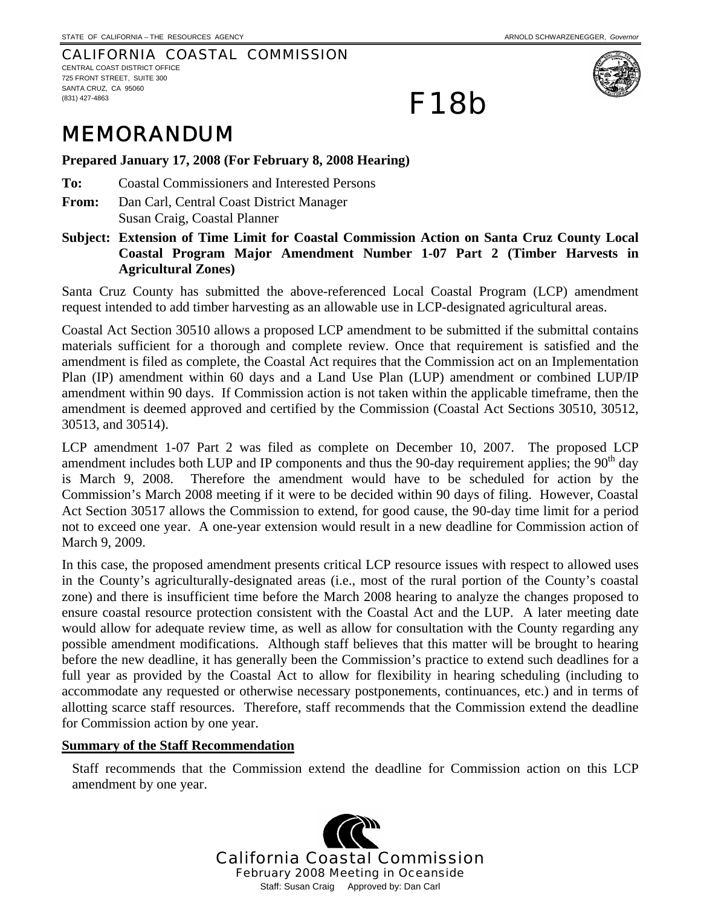CALIFORNIA COASTAL COMMISSION CENTRAL COAST DISTRICT OFFICE

725 FRONT STREET, SUITE 300 SANTA CRUZ, CA 95060 (831) 427-4863



## MEMORANDUM

**Prepared January 17, 2008 (For February 8, 2008 Hearing)** 

**To:** Coastal Commissioners and Interested Persons

**From:** Dan Carl, Central Coast District Manager Susan Craig, Coastal Planner

**Subject: Extension of Time Limit for Coastal Commission Action on Santa Cruz County Local Coastal Program Major Amendment Number 1-07 Part 2 (Timber Harvests in Agricultural Zones)** 

F18b

Santa Cruz County has submitted the above-referenced Local Coastal Program (LCP) amendment request intended to add timber harvesting as an allowable use in LCP-designated agricultural areas.

Coastal Act Section 30510 allows a proposed LCP amendment to be submitted if the submittal contains materials sufficient for a thorough and complete review. Once that requirement is satisfied and the amendment is filed as complete, the Coastal Act requires that the Commission act on an Implementation Plan (IP) amendment within 60 days and a Land Use Plan (LUP) amendment or combined LUP/IP amendment within 90 days. If Commission action is not taken within the applicable timeframe, then the amendment is deemed approved and certified by the Commission (Coastal Act Sections 30510, 30512, 30513, and 30514).

LCP amendment 1-07 Part 2 was filed as complete on December 10, 2007. The proposed LCP amendment includes both LUP and IP components and thus the 90-day requirement applies; the  $90<sup>th</sup>$  day is March 9, 2008. Therefore the amendment would have to be scheduled for action by the Commission's March 2008 meeting if it were to be decided within 90 days of filing. However, Coastal Act Section 30517 allows the Commission to extend, for good cause, the 90-day time limit for a period not to exceed one year. A one-year extension would result in a new deadline for Commission action of March 9, 2009.

In this case, the proposed amendment presents critical LCP resource issues with respect to allowed uses in the County's agriculturally-designated areas (i.e., most of the rural portion of the County's coastal zone) and there is insufficient time before the March 2008 hearing to analyze the changes proposed to ensure coastal resource protection consistent with the Coastal Act and the LUP. A later meeting date would allow for adequate review time, as well as allow for consultation with the County regarding any possible amendment modifications. Although staff believes that this matter will be brought to hearing before the new deadline, it has generally been the Commission's practice to extend such deadlines for a full year as provided by the Coastal Act to allow for flexibility in hearing scheduling (including to accommodate any requested or otherwise necessary postponements, continuances, etc.) and in terms of allotting scarce staff resources. Therefore, staff recommends that the Commission extend the deadline for Commission action by one year.

## **Summary of the Staff Recommendation**

Staff recommends that the Commission extend the deadline for Commission action on this LCP amendment by one year.